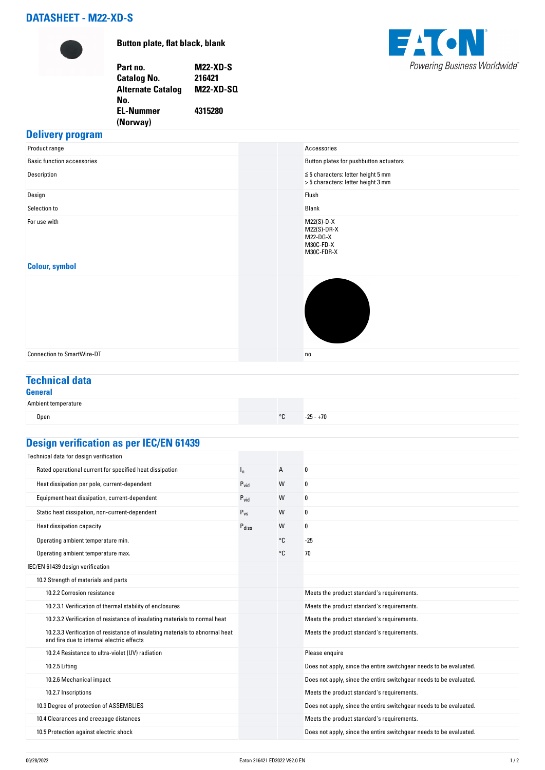# **DATASHEET - M22-XD-S**



**Button plate, flat black, blank**

**Part no. M22-XD-S Catalog No. Alternate Catalog No. M22-XD-SQ EL-Nummer (Norway) 4315280**



# **Delivery program**

| Product range                     | Accessories                                                                   |
|-----------------------------------|-------------------------------------------------------------------------------|
| <b>Basic function accessories</b> | Button plates for pushbutton actuators                                        |
| Description                       | $\leq 5$ characters: letter height 5 mm<br>> 5 characters: letter height 3 mm |
| Design                            | Flush                                                                         |
| Selection to                      | Blank                                                                         |
| For use with                      | $M22(S)-D-X$<br>$M22(S)-DR-X$<br>M22-DG-X<br>M30C-FD-X<br>M30C-FDR-X          |
| <b>Colour, symbol</b>             |                                                                               |
|                                   |                                                                               |
| <b>Connection to SmartWire-DT</b> | n <sub>0</sub>                                                                |

# **Technical data**

### **General** Ambient temperature Open  $\sim$  25 - +70  $\sim$  25 - +70  $\sim$  25 - +70  $\sim$  25 - +70  $\sim$  25 - +70  $\sim$  25 - +70  $\sim$

# **Design verification as per IEC/EN 61439**

| Technical data for design verification                                                                                    |                   |    |                                                                    |
|---------------------------------------------------------------------------------------------------------------------------|-------------------|----|--------------------------------------------------------------------|
| Rated operational current for specified heat dissipation                                                                  | $I_{n}$           | A  | 0                                                                  |
| Heat dissipation per pole, current-dependent                                                                              | $P_{\text{vid}}$  | W  | 0                                                                  |
| Equipment heat dissipation, current-dependent                                                                             | $P_{\text{vid}}$  | W  | 0                                                                  |
| Static heat dissipation, non-current-dependent                                                                            | $P_{VS}$          | W  | 0                                                                  |
| Heat dissipation capacity                                                                                                 | $P_{\text{diss}}$ | W  | 0                                                                  |
| Operating ambient temperature min.                                                                                        |                   | °C | $-25$                                                              |
| Operating ambient temperature max.                                                                                        |                   | °C | 70                                                                 |
| IEC/EN 61439 design verification                                                                                          |                   |    |                                                                    |
| 10.2 Strength of materials and parts                                                                                      |                   |    |                                                                    |
| 10.2.2 Corrosion resistance                                                                                               |                   |    | Meets the product standard's requirements.                         |
| 10.2.3.1 Verification of thermal stability of enclosures                                                                  |                   |    | Meets the product standard's requirements.                         |
| 10.2.3.2 Verification of resistance of insulating materials to normal heat                                                |                   |    | Meets the product standard's requirements.                         |
| 10.2.3.3 Verification of resistance of insulating materials to abnormal heat<br>and fire due to internal electric effects |                   |    | Meets the product standard's requirements.                         |
| 10.2.4 Resistance to ultra-violet (UV) radiation                                                                          |                   |    | Please enquire                                                     |
| 10.2.5 Lifting                                                                                                            |                   |    | Does not apply, since the entire switchgear needs to be evaluated. |
| 10.2.6 Mechanical impact                                                                                                  |                   |    | Does not apply, since the entire switchgear needs to be evaluated. |
| 10.2.7 Inscriptions                                                                                                       |                   |    | Meets the product standard's requirements.                         |
| 10.3 Degree of protection of ASSEMBLIES                                                                                   |                   |    | Does not apply, since the entire switchgear needs to be evaluated. |
| 10.4 Clearances and creepage distances                                                                                    |                   |    | Meets the product standard's requirements.                         |
| 10.5 Protection against electric shock                                                                                    |                   |    | Does not apply, since the entire switchgear needs to be evaluated. |
|                                                                                                                           |                   |    |                                                                    |